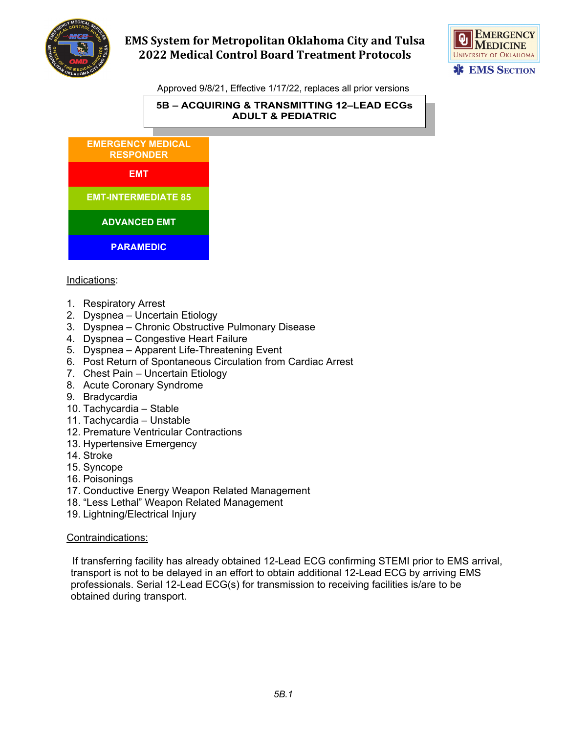



Approved 9/8/21, Effective 1/17/22, replaces all prior versions

#### **5B – ACQUIRING & TRANSMITTING 12–LEAD ECGs ADULT & PEDIATRIC**



### Indications:

- 1. Respiratory Arrest
- 2. Dyspnea Uncertain Etiology
- 3. Dyspnea Chronic Obstructive Pulmonary Disease
- 4. Dyspnea Congestive Heart Failure
- 5. Dyspnea Apparent Life-Threatening Event
- 6. Post Return of Spontaneous Circulation from Cardiac Arrest
- 7. Chest Pain Uncertain Etiology
- 8. Acute Coronary Syndrome
- 9. Bradycardia
- 10. Tachycardia Stable
- 11. Tachycardia Unstable
- 12. Premature Ventricular Contractions
- 13. Hypertensive Emergency
- 14. Stroke
- 15. Syncope
- 16. Poisonings
- 17. Conductive Energy Weapon Related Management
- 18. "Less Lethal" Weapon Related Management
- 19. Lightning/Electrical Injury

#### Contraindications:

 If transferring facility has already obtained 12-Lead ECG confirming STEMI prior to EMS arrival, transport is not to be delayed in an effort to obtain additional 12-Lead ECG by arriving EMS professionals. Serial 12-Lead ECG(s) for transmission to receiving facilities is/are to be obtained during transport.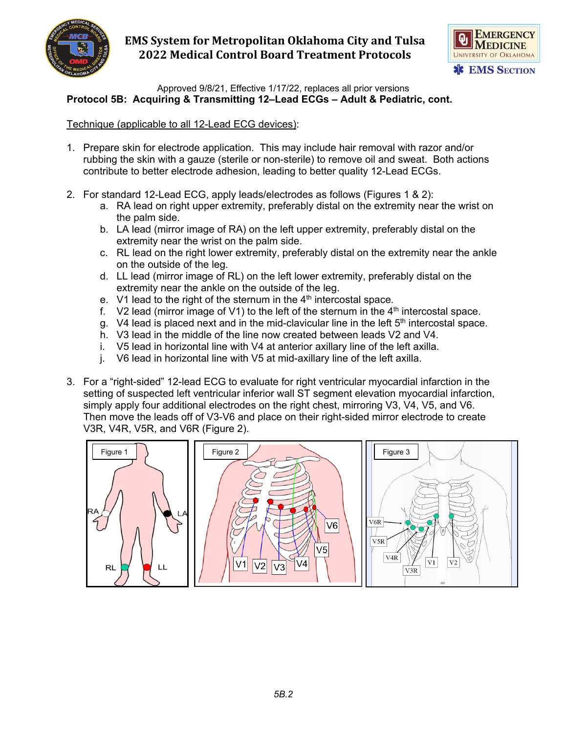



Approved 9/8/21, Effective 1/17/22, replaces all prior versions **Protocol 5B: Acquiring & Transmitting 12–Lead ECGs – Adult & Pediatric, cont.**

### Technique (applicable to all 12-Lead ECG devices):

- 1. Prepare skin for electrode application. This may include hair removal with razor and/or rubbing the skin with a gauze (sterile or non-sterile) to remove oil and sweat. Both actions contribute to better electrode adhesion, leading to better quality 12-Lead ECGs.
- 2. For standard 12-Lead ECG, apply leads/electrodes as follows (Figures 1 & 2):
	- a. RA lead on right upper extremity, preferably distal on the extremity near the wrist on the palm side.
	- b. LA lead (mirror image of RA) on the left upper extremity, preferably distal on the extremity near the wrist on the palm side.
	- c. RL lead on the right lower extremity, preferably distal on the extremity near the ankle on the outside of the leg.
	- d. LL lead (mirror image of RL) on the left lower extremity, preferably distal on the extremity near the ankle on the outside of the leg.
	- e. V1 lead to the right of the sternum in the  $4<sup>th</sup>$  intercostal space.
	- f. V2 lead (mirror image of V1) to the left of the sternum in the  $4<sup>th</sup>$  intercostal space.
	- g. V4 lead is placed next and in the mid-clavicular line in the left  $5<sup>th</sup>$  intercostal space.
	- h. V3 lead in the middle of the line now created between leads V2 and V4.
	- i. V5 lead in horizontal line with V4 at anterior axillary line of the left axilla.
	- j. V6 lead in horizontal line with V5 at mid-axillary line of the left axilla.
- 3. For a "right-sided" 12-lead ECG to evaluate for right ventricular myocardial infarction in the setting of suspected left ventricular inferior wall ST segment elevation myocardial infarction, simply apply four additional electrodes on the right chest, mirroring V3, V4, V5, and V6. Then move the leads off of V3-V6 and place on their right-sided mirror electrode to create V3R, V4R, V5R, and V6R (Figure 2).

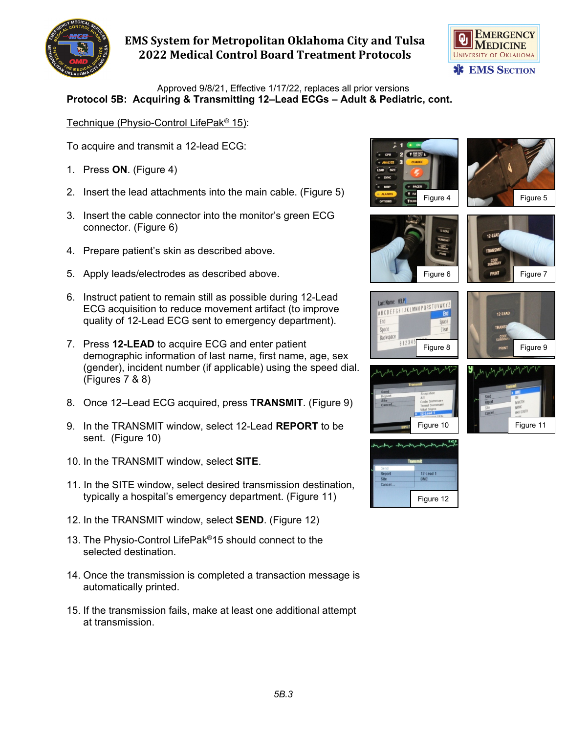



Approved 9/8/21, Effective 1/17/22, replaces all prior versions **Protocol 5B: Acquiring & Transmitting 12–Lead ECGs – Adult & Pediatric, cont.**

Technique (Physio-Control LifePak*®* 15):

To acquire and transmit a 12-lead ECG:

- 1. Press **ON**. (Figure 4)
- 2. Insert the lead attachments into the main cable. (Figure 5)
- 3. Insert the cable connector into the monitor's green ECG connector. (Figure 6)
- 4. Prepare patient's skin as described above.
- 5. Apply leads/electrodes as described above.
- 6. Instruct patient to remain still as possible during 12-Lead ECG acquisition to reduce movement artifact (to improve quality of 12-Lead ECG sent to emergency department).
- 7. Press **12-LEAD** to acquire ECG and enter patient demographic information of last name, first name, age, sex (gender), incident number (if applicable) using the speed dial. (Figures 7 & 8)
- 8. Once 12–Lead ECG acquired, press **TRANSMIT**. (Figure 9)
- 9. In the TRANSMIT window, select 12-Lead **REPORT** to be sent. (Figure 10)
- 10. In the TRANSMIT window, select **SITE**.
- 11. In the SITE window, select desired transmission destination, typically a hospital's emergency department. (Figure 11)
- 12. In the TRANSMIT window, select **SEND**. (Figure 12)
- 13. The Physio-Control LifePak®15 should connect to the selected destination.
- 14. Once the transmission is completed a transaction message is automatically printed.
- 15. If the transmission fails, make at least one additional attempt at transmission.